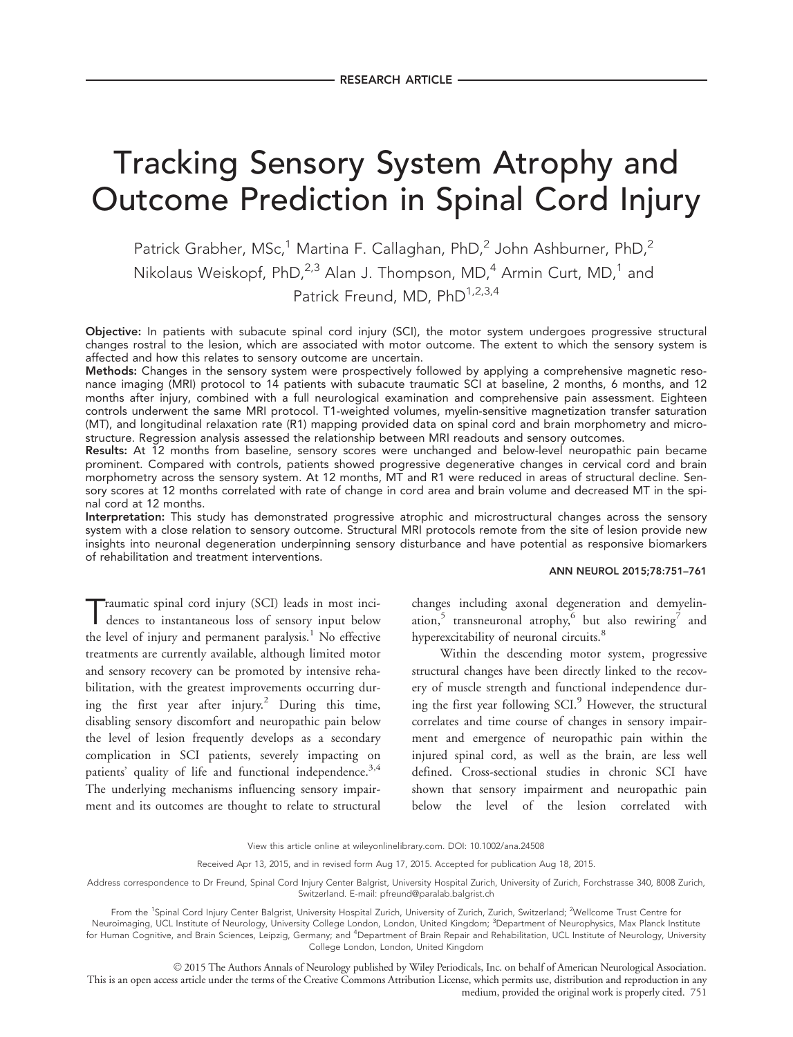# Tracking Sensory System Atrophy and Outcome Prediction in Spinal Cord Injury

Patrick Grabher, MSc,<sup>1</sup> Martina F. Callaghan, PhD,<sup>2</sup> John Ashburner, PhD,<sup>2</sup> Nikolaus Weiskopf, PhD, $^{2,3}$  Alan J. Thompson, MD, $^{4}$  Armin Curt, MD, $^{1}$  and Patrick Freund, MD, PhD<sup>1,2,3,4</sup>

Objective: In patients with subacute spinal cord injury (SCI), the motor system undergoes progressive structural changes rostral to the lesion, which are associated with motor outcome. The extent to which the sensory system is affected and how this relates to sensory outcome are uncertain.

Methods: Changes in the sensory system were prospectively followed by applying a comprehensive magnetic resonance imaging (MRI) protocol to 14 patients with subacute traumatic SCI at baseline, 2 months, 6 months, and 12 months after injury, combined with a full neurological examination and comprehensive pain assessment. Eighteen controls underwent the same MRI protocol. T1-weighted volumes, myelin-sensitive magnetization transfer saturation (MT), and longitudinal relaxation rate (R1) mapping provided data on spinal cord and brain morphometry and microstructure. Regression analysis assessed the relationship between MRI readouts and sensory outcomes.

Results: At 12 months from baseline, sensory scores were unchanged and below-level neuropathic pain became prominent. Compared with controls, patients showed progressive degenerative changes in cervical cord and brain morphometry across the sensory system. At 12 months, MT and R1 were reduced in areas of structural decline. Sensory scores at 12 months correlated with rate of change in cord area and brain volume and decreased MT in the spinal cord at 12 months.

Interpretation: This study has demonstrated progressive atrophic and microstructural changes across the sensory system with a close relation to sensory outcome. Structural MRI protocols remote from the site of lesion provide new insights into neuronal degeneration underpinning sensory disturbance and have potential as responsive biomarkers of rehabilitation and treatment interventions.

#### ANN NEUROL 2015;78:751–761

Traumatic spinal cord injury (SCI) leads in most inci-dences to instantaneous loss of sensory input below the level of injury and permanent paralysis.<sup>1</sup> No effective treatments are currently available, although limited motor and sensory recovery can be promoted by intensive rehabilitation, with the greatest improvements occurring during the first year after injury.<sup>2</sup> During this time, disabling sensory discomfort and neuropathic pain below the level of lesion frequently develops as a secondary complication in SCI patients, severely impacting on patients' quality of life and functional independence.<sup>3,4</sup> The underlying mechanisms influencing sensory impairment and its outcomes are thought to relate to structural

changes including axonal degeneration and demyelination,<sup>5</sup> transneuronal atrophy,<sup>6</sup> but also rewiring<sup>7</sup> and hyperexcitability of neuronal circuits.<sup>8</sup>

Within the descending motor system, progressive structural changes have been directly linked to the recovery of muscle strength and functional independence during the first year following  $SCI<sup>9</sup>$  However, the structural correlates and time course of changes in sensory impairment and emergence of neuropathic pain within the injured spinal cord, as well as the brain, are less well defined. Cross-sectional studies in chronic SCI have shown that sensory impairment and neuropathic pain below the level of the lesion correlated with

Address correspondence to Dr Freund, Spinal Cord Injury Center Balgrist, University Hospital Zurich, University of Zurich, Forchstrasse 340, 8008 Zurich, Switzerland. E-mail: pfreund@paralab.balgrist.ch

© 2015 The Authors Annals of Neurology published by Wiley Periodicals, Inc. on behalf of American Neurological Association. This is an open access article under the terms of the [Creative Commons Attribution](http://creativecommons.org/licenses/by/4.0/) License, which permits use, distribution and reproduction in any medium, provided the original work is properly cited. 751

View this article online at wileyonlinelibrary.com. DOI: 10.1002/ana.24508

Received Apr 13, 2015, and in revised form Aug 17, 2015. Accepted for publication Aug 18, 2015.

From the <sup>1</sup>Spinal Cord Injury Center Balgrist, University Hospital Zurich, University of Zurich, Zurich, Switzerland; <sup>2</sup>Wellcome Trust Centre for

Neuroimaging, UCL Institute of Neurology, University College London, London, United Kingdom; <sup>3</sup>Department of Neurophysics, Max Planck Institute for Human Cognitive, and Brain Sciences, Leipzig, Germany; and <sup>4</sup>Department of Brain Repair and Rehabilitation, UCL Institute of Neurology, University College London, London, United Kingdom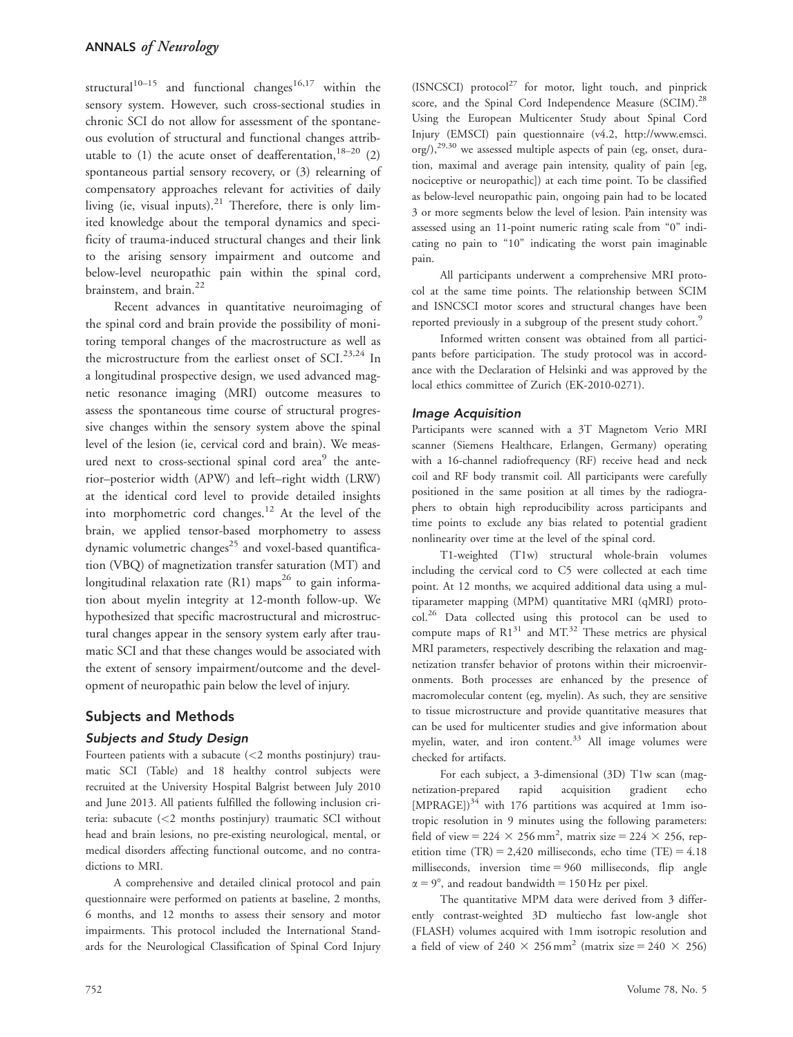structural<sup>10–15</sup> and functional changes<sup>16,17</sup> within the sensory system. However, such cross-sectional studies in chronic SCI do not allow for assessment of the spontaneous evolution of structural and functional changes attributable to (1) the acute onset of deafferentation,  $18-20$  (2) spontaneous partial sensory recovery, or (3) relearning of compensatory approaches relevant for activities of daily living (ie, visual inputs). $21$  Therefore, there is only limited knowledge about the temporal dynamics and specificity of trauma-induced structural changes and their link to the arising sensory impairment and outcome and below-level neuropathic pain within the spinal cord, brainstem, and brain.<sup>22</sup>

Recent advances in quantitative neuroimaging of the spinal cord and brain provide the possibility of monitoring temporal changes of the macrostructure as well as the microstructure from the earliest onset of SCI.<sup>23,24</sup> In a longitudinal prospective design, we used advanced magnetic resonance imaging (MRI) outcome measures to assess the spontaneous time course of structural progressive changes within the sensory system above the spinal level of the lesion (ie, cervical cord and brain). We measured next to cross-sectional spinal cord area $9$  the anterior–posterior width (APW) and left–right width (LRW) at the identical cord level to provide detailed insights into morphometric cord changes.<sup>12</sup> At the level of the brain, we applied tensor-based morphometry to assess dynamic volumetric changes<sup>25</sup> and voxel-based quantification (VBQ) of magnetization transfer saturation (MT) and longitudinal relaxation rate  $(R1)$  maps<sup>26</sup> to gain information about myelin integrity at 12-month follow-up. We hypothesized that specific macrostructural and microstructural changes appear in the sensory system early after traumatic SCI and that these changes would be associated with the extent of sensory impairment/outcome and the development of neuropathic pain below the level of injury.

# Subjects and Methods

## Subjects and Study Design

Fourteen patients with a subacute (<2 months postinjury) traumatic SCI (Table) and 18 healthy control subjects were recruited at the University Hospital Balgrist between July 2010 and June 2013. All patients fulfilled the following inclusion criteria: subacute (<2 months postinjury) traumatic SCI without head and brain lesions, no pre-existing neurological, mental, or medical disorders affecting functional outcome, and no contradictions to MRI.

A comprehensive and detailed clinical protocol and pain questionnaire were performed on patients at baseline, 2 months, 6 months, and 12 months to assess their sensory and motor impairments. This protocol included the International Standards for the Neurological Classification of Spinal Cord Injury

(ISNCSCI) protocol $^{27}$  for motor, light touch, and pinprick score, and the Spinal Cord Independence Measure (SCIM).<sup>28</sup> Using the European Multicenter Study about Spinal Cord Injury (EMSCI) pain questionnaire (v4.2, [http://www.emsci.](http://www.emsci.org)  $\text{org/}$  $\text{org/}$  $\text{org/}$ ),<sup>29,30</sup> we assessed multiple aspects of pain (eg, onset, duration, maximal and average pain intensity, quality of pain [eg, nociceptive or neuropathic]) at each time point. To be classified as below-level neuropathic pain, ongoing pain had to be located 3 or more segments below the level of lesion. Pain intensity was assessed using an 11-point numeric rating scale from "0" indicating no pain to "10" indicating the worst pain imaginable pain.

All participants underwent a comprehensive MRI protocol at the same time points. The relationship between SCIM and ISNCSCI motor scores and structural changes have been reported previously in a subgroup of the present study cohort.<sup>9</sup>

Informed written consent was obtained from all participants before participation. The study protocol was in accordance with the Declaration of Helsinki and was approved by the local ethics committee of Zurich (EK-2010-0271).

## Image Acquisition

Participants were scanned with a 3T Magnetom Verio MRI scanner (Siemens Healthcare, Erlangen, Germany) operating with a 16-channel radiofrequency (RF) receive head and neck coil and RF body transmit coil. All participants were carefully positioned in the same position at all times by the radiographers to obtain high reproducibility across participants and time points to exclude any bias related to potential gradient nonlinearity over time at the level of the spinal cord.

T1-weighted (T1w) structural whole-brain volumes including the cervical cord to C5 were collected at each time point. At 12 months, we acquired additional data using a multiparameter mapping (MPM) quantitative MRI (qMRI) protocol.<sup>26</sup> Data collected using this protocol can be used to compute maps of  $R1^{31}$  and MT.<sup>32</sup> These metrics are physical MRI parameters, respectively describing the relaxation and magnetization transfer behavior of protons within their microenvironments. Both processes are enhanced by the presence of macromolecular content (eg, myelin). As such, they are sensitive to tissue microstructure and provide quantitative measures that can be used for multicenter studies and give information about myelin, water, and iron content.<sup>33</sup> All image volumes were checked for artifacts.

For each subject, a 3-dimensional (3D) T1w scan (magnetization-prepared rapid acquisition gradient echo [MPRAGE]) $34$  with 176 partitions was acquired at 1mm isotropic resolution in 9 minutes using the following parameters: field of view = 224  $\times$  256 mm<sup>2</sup>, matrix size = 224  $\times$  256, repetition time (TR) = 2,420 milliseconds, echo time (TE) = 4.18 milliseconds, inversion time  $= 960$  milliseconds, flip angle  $\alpha = 9^{\circ}$ , and readout bandwidth = 150 Hz per pixel.

The quantitative MPM data were derived from 3 differently contrast-weighted 3D multiecho fast low-angle shot (FLASH) volumes acquired with 1mm isotropic resolution and a field of view of 240  $\times$  256 mm<sup>2</sup> (matrix size = 240  $\times$  256)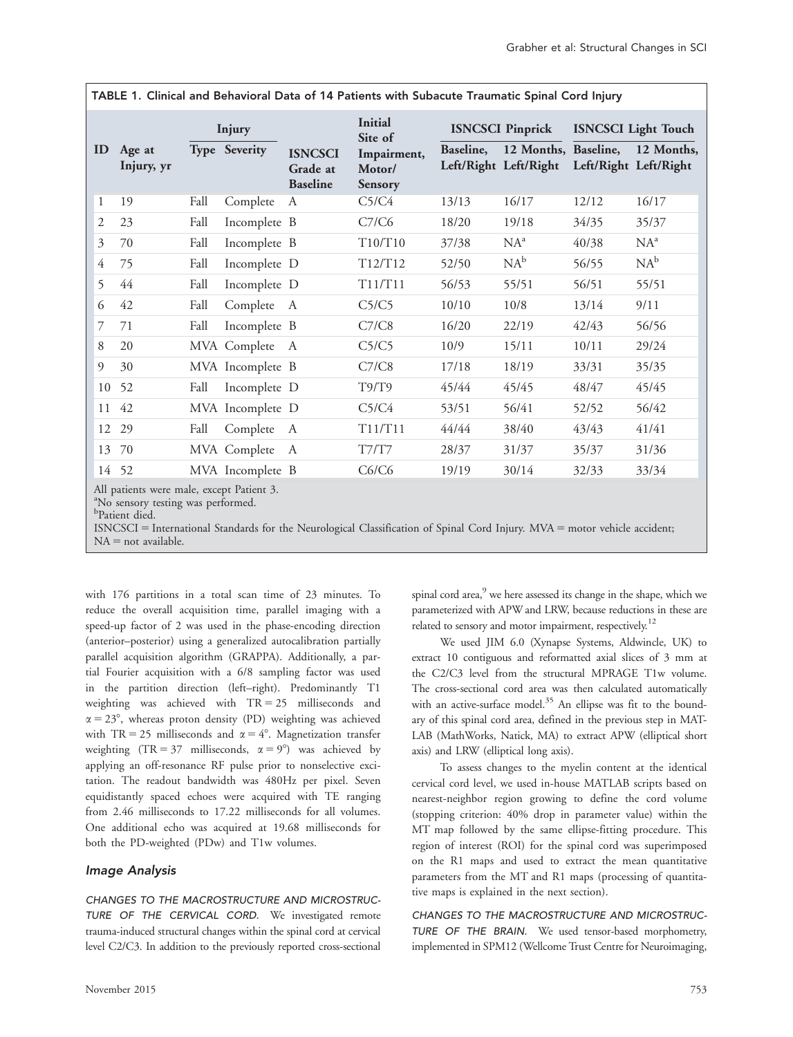|    |                      | Injury |                  |                                               | <b>Initial</b><br>Site of               | <b>ISNCSCI Pinprick</b> |                                               | <b>ISNCSCI</b> Light Touch |            |
|----|----------------------|--------|------------------|-----------------------------------------------|-----------------------------------------|-------------------------|-----------------------------------------------|----------------------------|------------|
| ID | Age at<br>Injury, yr |        | Type Severity    | <b>ISNCSCI</b><br>Grade at<br><b>Baseline</b> | Impairment,<br>Motor/<br><b>Sensory</b> | Baseline,               | 12 Months, Baseline,<br>Left/Right Left/Right | Left/Right Left/Right      | 12 Months, |
| 1  | 19                   | Fall   | Complete         | A                                             | C <sub>5</sub> /C <sub>4</sub>          | 13/13                   | 16/17                                         | 12/12                      | 16/17      |
| 2  | 23                   | Fall   | Incomplete B     |                                               | C7/C6                                   | 18/20                   | 19/18                                         | 34/35                      | 35/37      |
| 3  | 70                   | Fall   | Incomplete B     |                                               | T10/T10                                 | 37/38                   | $NA^a$                                        | 40/38                      | $NA^a$     |
| 4  | 75                   | Fall   | Incomplete D     |                                               | T12/T12                                 | 52/50                   | $NA^b$                                        | 56/55                      | $NA^b$     |
| 5  | 44                   | Fall   | Incomplete D     |                                               | T11/T11                                 | 56/53                   | 55/51                                         | 56/51                      | 55/51      |
| 6  | 42                   | Fall   | Complete         | $\mathbf{A}$                                  | C5/C5                                   | 10/10                   | 10/8                                          | 13/14                      | 9/11       |
| 7  | 71                   | Fall   | Incomplete B     |                                               | C7/C8                                   | 16/20                   | 22/19                                         | 42/43                      | 56/56      |
| 8  | 20                   |        | MVA Complete     | A                                             | C5/C5                                   | 10/9                    | 15/11                                         | 10/11                      | 29/24      |
| 9  | 30                   |        | MVA Incomplete B |                                               | C7/C8                                   | 17/18                   | 18/19                                         | 33/31                      | 35/35      |
| 10 | 52                   | Fall   | Incomplete D     |                                               | T9/T9                                   | 45/44                   | 45/45                                         | 48/47                      | 45/45      |
| 11 | 42                   |        | MVA Incomplete D |                                               | C5/C4                                   | 53/51                   | 56/41                                         | 52/52                      | 56/42      |
| 12 | 29                   | Fall   | Complete         | $\mathbf{A}$                                  | T11/T11                                 | 44/44                   | 38/40                                         | 43/43                      | 41/41      |
| 13 | 70                   |        | MVA Complete     | A                                             | T7/T7                                   | 28/37                   | 31/37                                         | 35/37                      | 31/36      |
| 14 | 52                   |        | MVA Incomplete B |                                               | C6/C6                                   | 19/19                   | 30/14                                         | 32/33                      | 33/34      |

TABLE 1. Clinical and Behavioral Data of 14 Patients with Subacute Traumatic Spinal Cord Injury

All patients were male, except Patient 3.

<sup>a</sup>No sensory testing was performed.

b Patient died.

ISNCSCI = International Standards for the Neurological Classification of Spinal Cord Injury. MVA = motor vehicle accident;  $NA = not available.$ 

with 176 partitions in a total scan time of 23 minutes. To reduce the overall acquisition time, parallel imaging with a speed-up factor of 2 was used in the phase-encoding direction (anterior–posterior) using a generalized autocalibration partially parallel acquisition algorithm (GRAPPA). Additionally, a partial Fourier acquisition with a 6/8 sampling factor was used in the partition direction (left–right). Predominantly T1 weighting was achieved with  $TR = 25$  milliseconds and  $\alpha = 23^{\circ}$ , whereas proton density (PD) weighting was achieved with TR = 25 milliseconds and  $\alpha = 4^\circ$ . Magnetization transfer weighting (TR = 37 milliseconds,  $\alpha = 9^{\circ}$ ) was achieved by applying an off-resonance RF pulse prior to nonselective excitation. The readout bandwidth was 480Hz per pixel. Seven equidistantly spaced echoes were acquired with TE ranging from 2.46 milliseconds to 17.22 milliseconds for all volumes. One additional echo was acquired at 19.68 milliseconds for both the PD-weighted (PDw) and T1w volumes.

#### Image Analysis

CHANGES TO THE MACROSTRUCTURE AND MICROSTRUC-TURE OF THE CERVICAL CORD. We investigated remote trauma-induced structural changes within the spinal cord at cervical level C2/C3. In addition to the previously reported cross-sectional

spinal cord area,<sup>9</sup> we here assessed its change in the shape, which we parameterized with APW and LRW, because reductions in these are related to sensory and motor impairment, respectively.<sup>12</sup>

We used JIM 6.0 (Xynapse Systems, Aldwincle, UK) to extract 10 contiguous and reformatted axial slices of 3 mm at the C2/C3 level from the structural MPRAGE T1w volume. The cross-sectional cord area was then calculated automatically with an active-surface model.<sup>35</sup> An ellipse was fit to the boundary of this spinal cord area, defined in the previous step in MAT-LAB (MathWorks, Natick, MA) to extract APW (elliptical short axis) and LRW (elliptical long axis).

To assess changes to the myelin content at the identical cervical cord level, we used in-house MATLAB scripts based on nearest-neighbor region growing to define the cord volume (stopping criterion: 40% drop in parameter value) within the MT map followed by the same ellipse-fitting procedure. This region of interest (ROI) for the spinal cord was superimposed on the R1 maps and used to extract the mean quantitative parameters from the MT and R1 maps (processing of quantitative maps is explained in the next section).

CHANGES TO THE MACROSTRUCTURE AND MICROSTRUC-TURE OF THE BRAIN. We used tensor-based morphometry, implemented in SPM12 (Wellcome Trust Centre for Neuroimaging,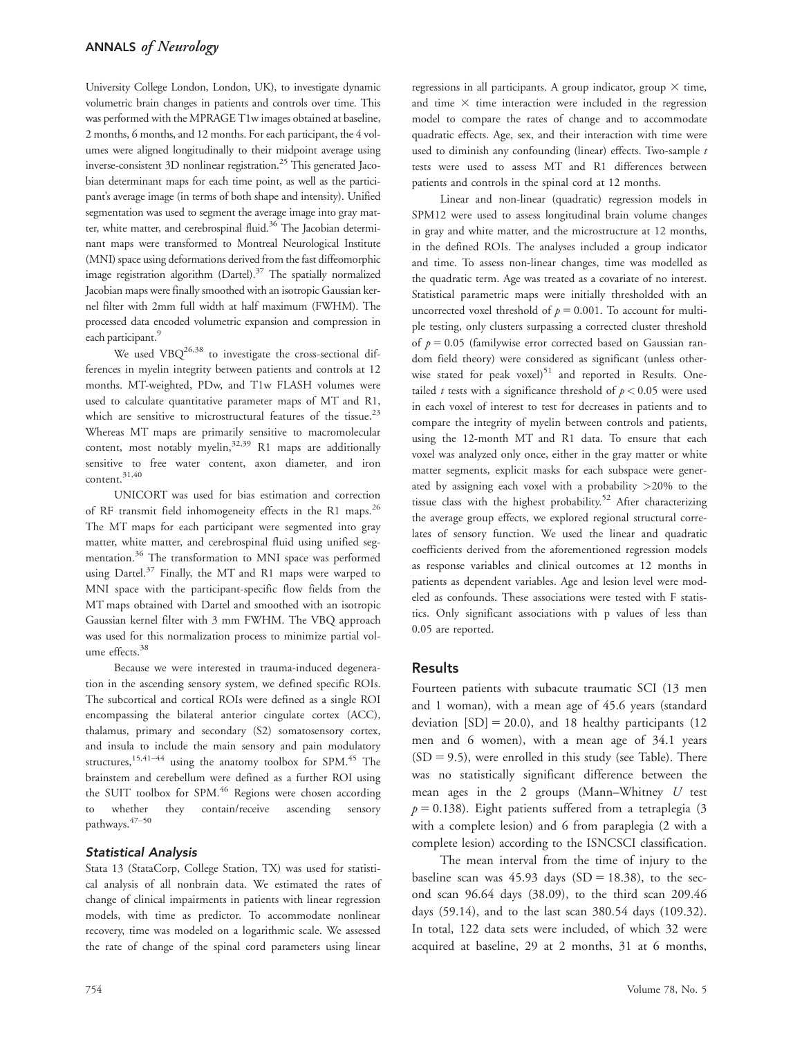University College London, London, UK), to investigate dynamic volumetric brain changes in patients and controls over time. This was performed with the MPRAGE T1w images obtained at baseline, 2 months, 6 months, and 12 months. For each participant, the 4 volumes were aligned longitudinally to their midpoint average using inverse-consistent 3D nonlinear registration.<sup>25</sup> This generated Jacobian determinant maps for each time point, as well as the participant's average image (in terms of both shape and intensity). Unified segmentation was used to segment the average image into gray matter, white matter, and cerebrospinal fluid.<sup>36</sup> The Jacobian determinant maps were transformed to Montreal Neurological Institute (MNI) space using deformations derived from the fast diffeomorphic image registration algorithm (Dartel). $37$  The spatially normalized Jacobian maps were finally smoothed with an isotropic Gaussian kernel filter with 2mm full width at half maximum (FWHM). The processed data encoded volumetric expansion and compression in each participant.<sup>9</sup>

We used  $VBQ^{26,38}$  to investigate the cross-sectional differences in myelin integrity between patients and controls at 12 months. MT-weighted, PDw, and T1w FLASH volumes were used to calculate quantitative parameter maps of MT and R1, which are sensitive to microstructural features of the tissue.<sup>23</sup> Whereas MT maps are primarily sensitive to macromolecular content, most notably myelin, $32,39$  R1 maps are additionally sensitive to free water content, axon diameter, and iron content.31,40

UNICORT was used for bias estimation and correction of RF transmit field inhomogeneity effects in the R1 maps.<sup>26</sup> The MT maps for each participant were segmented into gray matter, white matter, and cerebrospinal fluid using unified segmentation.<sup>36</sup> The transformation to MNI space was performed using Dartel. $37$  Finally, the MT and R1 maps were warped to MNI space with the participant-specific flow fields from the MT maps obtained with Dartel and smoothed with an isotropic Gaussian kernel filter with 3 mm FWHM. The VBQ approach was used for this normalization process to minimize partial volume effects.<sup>38</sup>

Because we were interested in trauma-induced degeneration in the ascending sensory system, we defined specific ROIs. The subcortical and cortical ROIs were defined as a single ROI encompassing the bilateral anterior cingulate cortex (ACC), thalamus, primary and secondary (S2) somatosensory cortex, and insula to include the main sensory and pain modulatory structures,<sup>15,41–44</sup> using the anatomy toolbox for SPM.<sup>45</sup> The brainstem and cerebellum were defined as a further ROI using the SUIT toolbox for SPM.<sup>46</sup> Regions were chosen according to whether they contain/receive ascending sensory pathways.47–50

#### Statistical Analysis

Stata 13 (StataCorp, College Station, TX) was used for statistical analysis of all nonbrain data. We estimated the rates of change of clinical impairments in patients with linear regression models, with time as predictor. To accommodate nonlinear recovery, time was modeled on a logarithmic scale. We assessed the rate of change of the spinal cord parameters using linear

regressions in all participants. A group indicator, group  $\times$  time, and time  $\times$  time interaction were included in the regression model to compare the rates of change and to accommodate quadratic effects. Age, sex, and their interaction with time were used to diminish any confounding (linear) effects. Two-sample  $t$ tests were used to assess MT and R1 differences between patients and controls in the spinal cord at 12 months.

Linear and non-linear (quadratic) regression models in SPM12 were used to assess longitudinal brain volume changes in gray and white matter, and the microstructure at 12 months, in the defined ROIs. The analyses included a group indicator and time. To assess non-linear changes, time was modelled as the quadratic term. Age was treated as a covariate of no interest. Statistical parametric maps were initially thresholded with an uncorrected voxel threshold of  $p = 0.001$ . To account for multiple testing, only clusters surpassing a corrected cluster threshold of  $p = 0.05$  (familywise error corrected based on Gaussian random field theory) were considered as significant (unless otherwise stated for peak voxel) $51$  and reported in Results. Onetailed t tests with a significance threshold of  $p < 0.05$  were used in each voxel of interest to test for decreases in patients and to compare the integrity of myelin between controls and patients, using the 12-month MT and R1 data. To ensure that each voxel was analyzed only once, either in the gray matter or white matter segments, explicit masks for each subspace were generated by assigning each voxel with a probability  $>20\%$  to the tissue class with the highest probability.<sup>52</sup> After characterizing the average group effects, we explored regional structural correlates of sensory function. We used the linear and quadratic coefficients derived from the aforementioned regression models as response variables and clinical outcomes at 12 months in patients as dependent variables. Age and lesion level were modeled as confounds. These associations were tested with F statistics. Only significant associations with p values of less than 0.05 are reported.

## Results

Fourteen patients with subacute traumatic SCI (13 men and 1 woman), with a mean age of 45.6 years (standard deviation  $[SD] = 20.0$ , and 18 healthy participants (12 men and 6 women), with a mean age of 34.1 years  $(SD = 9.5)$ , were enrolled in this study (see Table). There was no statistically significant difference between the mean ages in the 2 groups (Mann–Whitney  $U$  test  $p = 0.138$ ). Eight patients suffered from a tetraplegia (3 with a complete lesion) and 6 from paraplegia (2 with a complete lesion) according to the ISNCSCI classification.

The mean interval from the time of injury to the baseline scan was  $45.93$  days (SD = 18.38), to the second scan 96.64 days (38.09), to the third scan 209.46 days (59.14), and to the last scan 380.54 days (109.32). In total, 122 data sets were included, of which 32 were acquired at baseline, 29 at 2 months, 31 at 6 months,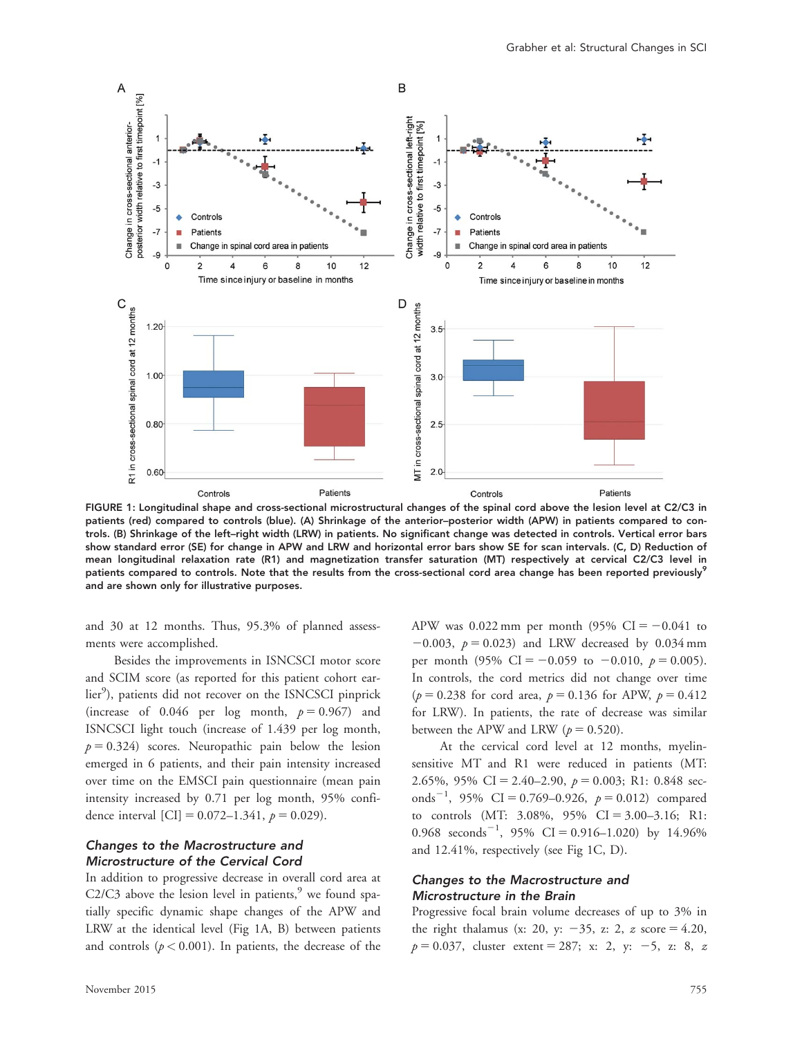

FIGURE 1: Longitudinal shape and cross-sectional microstructural changes of the spinal cord above the lesion level at C2/C3 in patients (red) compared to controls (blue). (A) Shrinkage of the anterior–posterior width (APW) in patients compared to controls. (B) Shrinkage of the left–right width (LRW) in patients. No significant change was detected in controls. Vertical error bars show standard error (SE) for change in APW and LRW and horizontal error bars show SE for scan intervals. (C, D) Reduction of mean longitudinal relaxation rate (R1) and magnetization transfer saturation (MT) respectively at cervical C2/C3 level in patients compared to controls. Note that the results from the cross-sectional cord area change has been reported previously<sup>9</sup> and are shown only for illustrative purposes.

and 30 at 12 months. Thus, 95.3% of planned assessments were accomplished.

Besides the improvements in ISNCSCI motor score and SCIM score (as reported for this patient cohort earlier<sup>9</sup>), patients did not recover on the ISNCSCI pinprick (increase of 0.046 per log month,  $p = 0.967$ ) and ISNCSCI light touch (increase of 1.439 per log month,  $p = 0.324$ ) scores. Neuropathic pain below the lesion emerged in 6 patients, and their pain intensity increased over time on the EMSCI pain questionnaire (mean pain intensity increased by 0.71 per log month, 95% confidence interval [CI] =  $0.072-1.341$ ,  $p = 0.029$ ).

## Changes to the Macrostructure and Microstructure of the Cervical Cord

In addition to progressive decrease in overall cord area at C2/C3 above the lesion level in patients, $9$  we found spatially specific dynamic shape changes of the APW and LRW at the identical level (Fig 1A, B) between patients and controls  $(p < 0.001)$ . In patients, the decrease of the APW was 0.022 mm per month (95% CI =  $-0.041$  to  $-0.003$ ,  $p = 0.023$ ) and LRW decreased by 0.034 mm per month (95% CI = -0.059 to -0.010,  $p = 0.005$ ). In controls, the cord metrics did not change over time  $(p = 0.238$  for cord area,  $p = 0.136$  for APW,  $p = 0.412$ for LRW). In patients, the rate of decrease was similar between the APW and LRW ( $p = 0.520$ ).

At the cervical cord level at 12 months, myelinsensitive MT and R1 were reduced in patients (MT: 2.65%, 95% CI = 2.40–2.90,  $p = 0.003$ ; R1: 0.848 seconds<sup>-1</sup>, 95% CI = 0.769-0.926,  $p = 0.012$ ) compared to controls (MT:  $3.08\%$ ,  $95\%$  CI =  $3.00-3.16$ ; R1: 0.968 seconds<sup>-1</sup>, 95% CI = 0.916-1.020) by 14.96% and 12.41%, respectively (see Fig 1C, D).

## Changes to the Macrostructure and Microstructure in the Brain

Progressive focal brain volume decreases of up to 3% in the right thalamus (x: 20, y:  $-35$ , z: 2, z score = 4.20,  $p = 0.037$ , cluster extent = 287; x: 2, y: -5, z: 8, z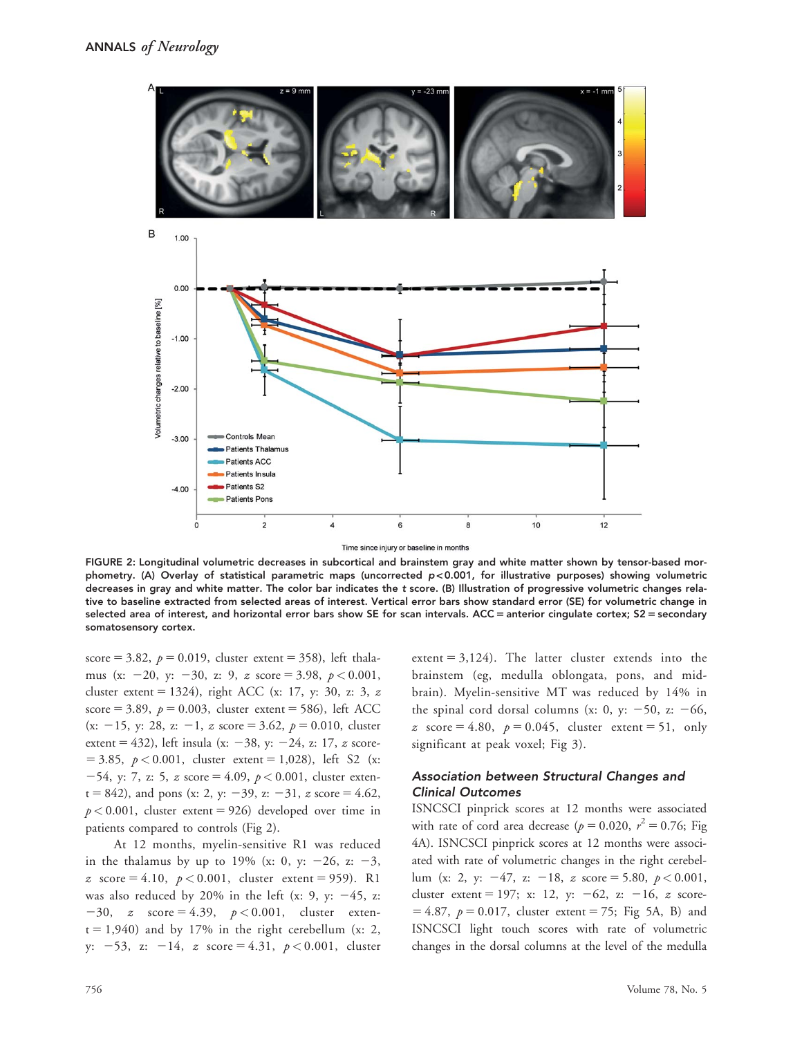

Time since injury or baseline in months

FIGURE 2: Longitudinal volumetric decreases in subcortical and brainstem gray and white matter shown by tensor-based morphometry. (A) Overlay of statistical parametric maps (uncorrected p < 0.001, for illustrative purposes) showing volumetric decreases in gray and white matter. The color bar indicates the t score. (B) Illustration of progressive volumetric changes relative to baseline extracted from selected areas of interest. Vertical error bars show standard error (SE) for volumetric change in selected area of interest, and horizontal error bars show SE for scan intervals. ACC = anterior cingulate cortex; S2 = secondary somatosensory cortex.

score = 3.82,  $p = 0.019$ , cluster extent = 358), left thalamus (x: -20, y: -30, z: 9, z score = 3.98,  $p < 0.001$ , cluster extent = 1324), right ACC (x: 17, y: 30, z: 3, z score = 3.89,  $p = 0.003$ , cluster extent = 586), left ACC (x: -15, y: 28, z: -1, z score = 3.62,  $p = 0.010$ , cluster extent = 432), left insula (x:  $-38$ , y:  $-24$ , z: 17, z score- $= 3.85, p < 0.001$ , cluster extent  $= 1,028$ ), left S2 (x:  $-54$ , y: 7, z: 5, z score = 4.09,  $p < 0.001$ , cluster exten $t = 842$ ), and pons (x: 2, y: -39, z: -31, z score = 4.62,  $p < 0.001$ , cluster extent = 926) developed over time in patients compared to controls (Fig 2).

At 12 months, myelin-sensitive R1 was reduced in the thalamus by up to 19% (x: 0, y:  $-26$ , z:  $-3$ , z score = 4.10,  $p < 0.001$ , cluster extent = 959). R1 was also reduced by 20% in the left (x: 9, y:  $-45$ , z:  $-30$ , z score = 4.39,  $p < 0.001$ , cluster exten $t = 1,940$ ) and by 17% in the right cerebellum (x: 2, y:  $-53$ , z:  $-14$ , z score = 4.31,  $p < 0.001$ , cluster extent  $= 3,124$ ). The latter cluster extends into the brainstem (eg, medulla oblongata, pons, and midbrain). Myelin-sensitive MT was reduced by 14% in the spinal cord dorsal columns (x: 0, y:  $-50$ , z:  $-66$ , z score = 4.80,  $p = 0.045$ , cluster extent = 51, only significant at peak voxel; Fig 3).

## Association between Structural Changes and Clinical Outcomes

ISNCSCI pinprick scores at 12 months were associated with rate of cord area decrease ( $p = 0.020$ ,  $r^2 = 0.76$ ; Fig 4A). ISNCSCI pinprick scores at 12 months were associated with rate of volumetric changes in the right cerebellum (x: 2, y:  $-47$ , z:  $-18$ , z score = 5.80,  $p < 0.001$ , cluster extent = 197; x: 12, y:  $-62$ , z:  $-16$ , z score- $= 4.87, p = 0.017$ , cluster extent  $= 75$ ; Fig 5A, B) and ISNCSCI light touch scores with rate of volumetric changes in the dorsal columns at the level of the medulla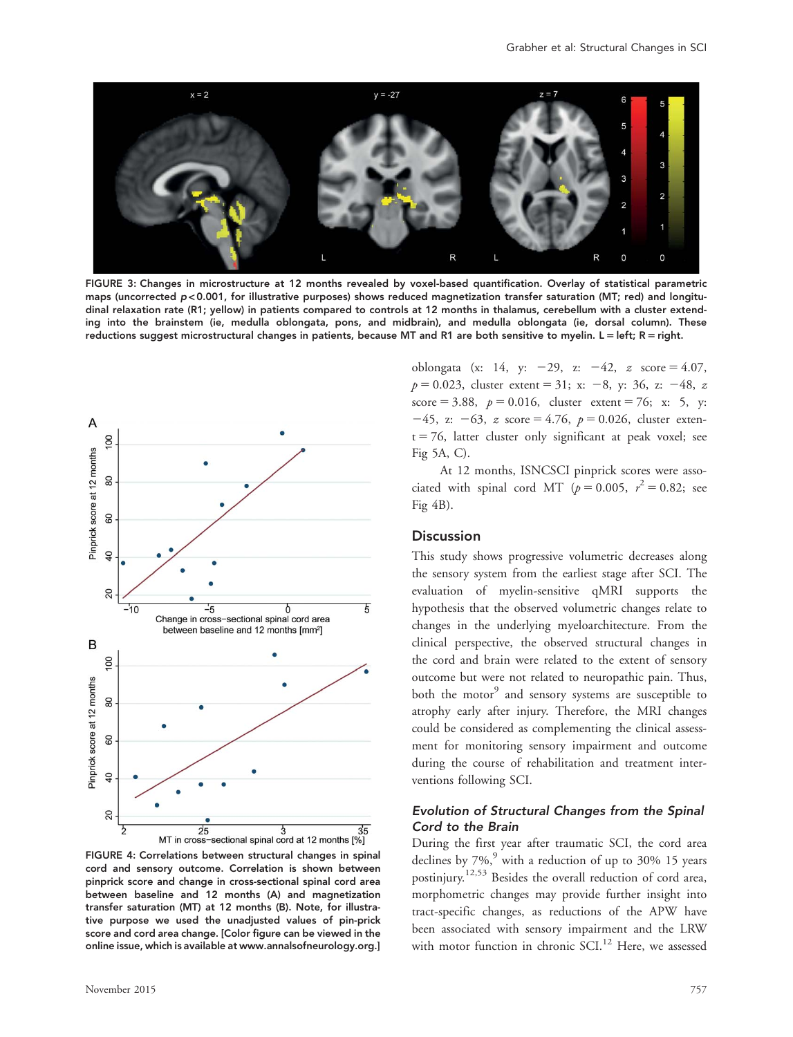

FIGURE 3: Changes in microstructure at 12 months revealed by voxel-based quantification. Overlay of statistical parametric maps (uncorrected  $p < 0.001$ , for illustrative purposes) shows reduced magnetization transfer saturation (MT; red) and longitudinal relaxation rate (R1; yellow) in patients compared to controls at 12 months in thalamus, cerebellum with a cluster extending into the brainstem (ie, medulla oblongata, pons, and midbrain), and medulla oblongata (ie, dorsal column). These reductions suggest microstructural changes in patients, because MT and R1 are both sensitive to myelin. L = left; R = right.



FIGURE 4: Correlations between structural changes in spinal cord and sensory outcome. Correlation is shown between pinprick score and change in cross-sectional spinal cord area between baseline and 12 months (A) and magnetization transfer saturation (MT) at 12 months (B). Note, for illustrative purpose we used the unadjusted values of pin-prick score and cord area change. [Color figure can be viewed in the online issue, which is available at [www.annalsofneurology.org](http://www.annalsofneurology.org).]

November 2015 757

oblongata (x: 14, y:  $-29$ , z:  $-42$ , z score = 4.07,  $p = 0.023$ , cluster extent = 31; x: -8, y: 36, z: -48, z score = 3.88,  $p = 0.016$ , cluster extent = 76; x: 5, y:  $-45$ , z:  $-63$ , z score = 4.76,  $p = 0.026$ , cluster exten $t = 76$ , latter cluster only significant at peak voxel; see Fig 5A, C).

At 12 months, ISNCSCI pinprick scores were associated with spinal cord MT ( $p = 0.005$ ,  $r^2 = 0.82$ ; see Fig 4B).

## **Discussion**

This study shows progressive volumetric decreases along the sensory system from the earliest stage after SCI. The evaluation of myelin-sensitive qMRI supports the hypothesis that the observed volumetric changes relate to changes in the underlying myeloarchitecture. From the clinical perspective, the observed structural changes in the cord and brain were related to the extent of sensory outcome but were not related to neuropathic pain. Thus, both the motor<sup>9</sup> and sensory systems are susceptible to atrophy early after injury. Therefore, the MRI changes could be considered as complementing the clinical assessment for monitoring sensory impairment and outcome during the course of rehabilitation and treatment interventions following SCI.

## Evolution of Structural Changes from the Spinal Cord to the Brain

During the first year after traumatic SCI, the cord area declines by  $7\%$ , with a reduction of up to 30% 15 years postinjury.12,53 Besides the overall reduction of cord area, morphometric changes may provide further insight into tract-specific changes, as reductions of the APW have been associated with sensory impairment and the LRW with motor function in chronic SCI.<sup>12</sup> Here, we assessed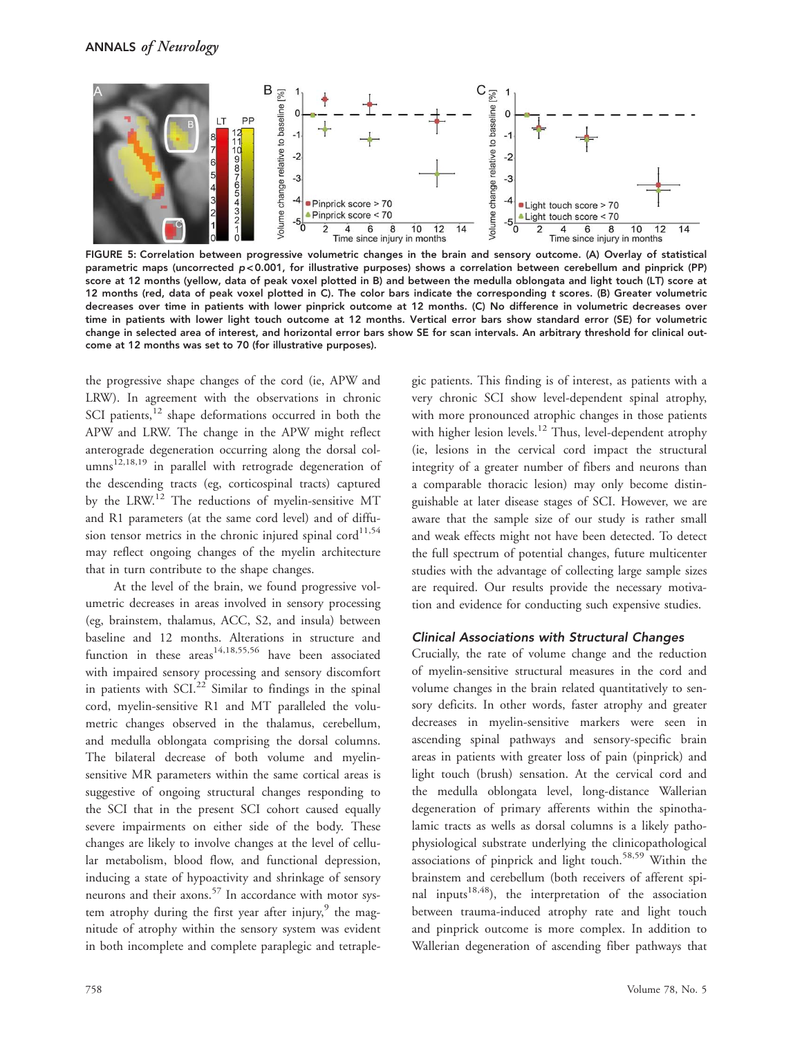

FIGURE 5: Correlation between progressive volumetric changes in the brain and sensory outcome. (A) Overlay of statistical parametric maps (uncorrected p < 0.001, for illustrative purposes) shows a correlation between cerebellum and pinprick (PP) score at 12 months (yellow, data of peak voxel plotted in B) and between the medulla oblongata and light touch (LT) score at 12 months (red, data of peak voxel plotted in C). The color bars indicate the corresponding t scores. (B) Greater volumetric decreases over time in patients with lower pinprick outcome at 12 months. (C) No difference in volumetric decreases over time in patients with lower light touch outcome at 12 months. Vertical error bars show standard error (SE) for volumetric change in selected area of interest, and horizontal error bars show SE for scan intervals. An arbitrary threshold for clinical outcome at 12 months was set to 70 (for illustrative purposes).

the progressive shape changes of the cord (ie, APW and LRW). In agreement with the observations in chronic SCI patients, $12$  shape deformations occurred in both the APW and LRW. The change in the APW might reflect anterograde degeneration occurring along the dorsal col- $\text{ums}^{12,18,19}$  in parallel with retrograde degeneration of the descending tracts (eg, corticospinal tracts) captured by the LRW.12 The reductions of myelin-sensitive MT and R1 parameters (at the same cord level) and of diffusion tensor metrics in the chronic injured spinal cord $^{11,54}$ may reflect ongoing changes of the myelin architecture that in turn contribute to the shape changes.

At the level of the brain, we found progressive volumetric decreases in areas involved in sensory processing (eg, brainstem, thalamus, ACC, S2, and insula) between baseline and 12 months. Alterations in structure and function in these  $\arccos^{14,18,55,56}$  have been associated with impaired sensory processing and sensory discomfort in patients with  $SCI<sup>22</sup>$  Similar to findings in the spinal cord, myelin-sensitive R1 and MT paralleled the volumetric changes observed in the thalamus, cerebellum, and medulla oblongata comprising the dorsal columns. The bilateral decrease of both volume and myelinsensitive MR parameters within the same cortical areas is suggestive of ongoing structural changes responding to the SCI that in the present SCI cohort caused equally severe impairments on either side of the body. These changes are likely to involve changes at the level of cellular metabolism, blood flow, and functional depression, inducing a state of hypoactivity and shrinkage of sensory neurons and their axons.<sup>57</sup> In accordance with motor system atrophy during the first year after injury, $9$  the magnitude of atrophy within the sensory system was evident in both incomplete and complete paraplegic and tetraple-

gic patients. This finding is of interest, as patients with a very chronic SCI show level-dependent spinal atrophy, with more pronounced atrophic changes in those patients with higher lesion levels.<sup>12</sup> Thus, level-dependent atrophy (ie, lesions in the cervical cord impact the structural integrity of a greater number of fibers and neurons than a comparable thoracic lesion) may only become distinguishable at later disease stages of SCI. However, we are aware that the sample size of our study is rather small and weak effects might not have been detected. To detect the full spectrum of potential changes, future multicenter studies with the advantage of collecting large sample sizes are required. Our results provide the necessary motivation and evidence for conducting such expensive studies.

## Clinical Associations with Structural Changes

Crucially, the rate of volume change and the reduction of myelin-sensitive structural measures in the cord and volume changes in the brain related quantitatively to sensory deficits. In other words, faster atrophy and greater decreases in myelin-sensitive markers were seen in ascending spinal pathways and sensory-specific brain areas in patients with greater loss of pain (pinprick) and light touch (brush) sensation. At the cervical cord and the medulla oblongata level, long-distance Wallerian degeneration of primary afferents within the spinothalamic tracts as wells as dorsal columns is a likely pathophysiological substrate underlying the clinicopathological associations of pinprick and light touch.<sup>58,59</sup> Within the brainstem and cerebellum (both receivers of afferent spinal inputs<sup>18,48</sup>), the interpretation of the association between trauma-induced atrophy rate and light touch and pinprick outcome is more complex. In addition to Wallerian degeneration of ascending fiber pathways that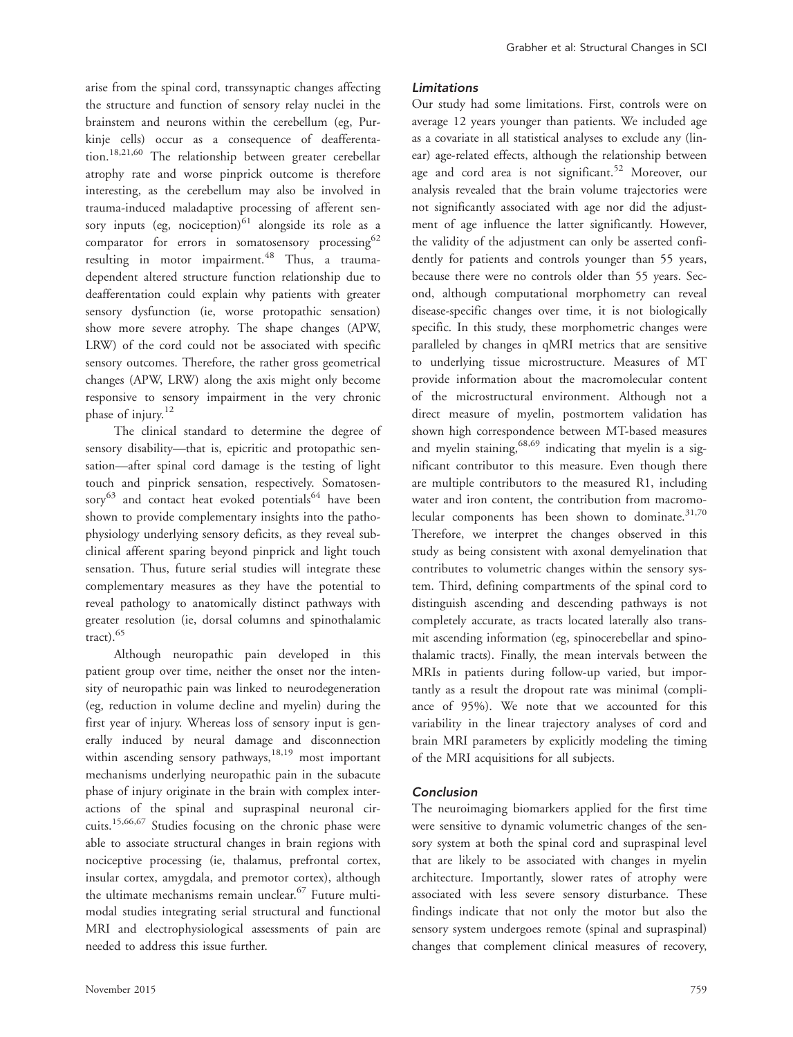arise from the spinal cord, transsynaptic changes affecting the structure and function of sensory relay nuclei in the brainstem and neurons within the cerebellum (eg, Purkinje cells) occur as a consequence of deafferentation.<sup>18,21,60</sup> The relationship between greater cerebellar atrophy rate and worse pinprick outcome is therefore interesting, as the cerebellum may also be involved in trauma-induced maladaptive processing of afferent sensory inputs (eg, nociception) $61$  alongside its role as a comparator for errors in somatosensory processing<sup>62</sup> resulting in motor impairment.<sup>48</sup> Thus, a traumadependent altered structure function relationship due to deafferentation could explain why patients with greater sensory dysfunction (ie, worse protopathic sensation) show more severe atrophy. The shape changes (APW, LRW) of the cord could not be associated with specific sensory outcomes. Therefore, the rather gross geometrical changes (APW, LRW) along the axis might only become responsive to sensory impairment in the very chronic phase of injury.<sup>12</sup>

The clinical standard to determine the degree of sensory disability—that is, epicritic and protopathic sensation—after spinal cord damage is the testing of light touch and pinprick sensation, respectively. Somatosensory $^{63}$  and contact heat evoked potentials $^{64}$  have been shown to provide complementary insights into the pathophysiology underlying sensory deficits, as they reveal subclinical afferent sparing beyond pinprick and light touch sensation. Thus, future serial studies will integrate these complementary measures as they have the potential to reveal pathology to anatomically distinct pathways with greater resolution (ie, dorsal columns and spinothalamic tract). $65$ 

Although neuropathic pain developed in this patient group over time, neither the onset nor the intensity of neuropathic pain was linked to neurodegeneration (eg, reduction in volume decline and myelin) during the first year of injury. Whereas loss of sensory input is generally induced by neural damage and disconnection within ascending sensory pathways,  $18,19$  most important mechanisms underlying neuropathic pain in the subacute phase of injury originate in the brain with complex interactions of the spinal and supraspinal neuronal circuits.15,66,67 Studies focusing on the chronic phase were able to associate structural changes in brain regions with nociceptive processing (ie, thalamus, prefrontal cortex, insular cortex, amygdala, and premotor cortex), although the ultimate mechanisms remain unclear.<sup>67</sup> Future multimodal studies integrating serial structural and functional MRI and electrophysiological assessments of pain are needed to address this issue further.

#### Limitations

Our study had some limitations. First, controls were on average 12 years younger than patients. We included age as a covariate in all statistical analyses to exclude any (linear) age-related effects, although the relationship between age and cord area is not significant.<sup>52</sup> Moreover, our analysis revealed that the brain volume trajectories were not significantly associated with age nor did the adjustment of age influence the latter significantly. However, the validity of the adjustment can only be asserted confidently for patients and controls younger than 55 years, because there were no controls older than 55 years. Second, although computational morphometry can reveal disease-specific changes over time, it is not biologically specific. In this study, these morphometric changes were paralleled by changes in qMRI metrics that are sensitive to underlying tissue microstructure. Measures of MT provide information about the macromolecular content of the microstructural environment. Although not a direct measure of myelin, postmortem validation has shown high correspondence between MT-based measures and myelin staining,  $68,69$  indicating that myelin is a significant contributor to this measure. Even though there are multiple contributors to the measured R1, including water and iron content, the contribution from macromolecular components has been shown to dominate. $31,70$ Therefore, we interpret the changes observed in this study as being consistent with axonal demyelination that contributes to volumetric changes within the sensory system. Third, defining compartments of the spinal cord to distinguish ascending and descending pathways is not completely accurate, as tracts located laterally also transmit ascending information (eg, spinocerebellar and spinothalamic tracts). Finally, the mean intervals between the MRIs in patients during follow-up varied, but importantly as a result the dropout rate was minimal (compliance of 95%). We note that we accounted for this variability in the linear trajectory analyses of cord and brain MRI parameters by explicitly modeling the timing of the MRI acquisitions for all subjects.

#### Conclusion

The neuroimaging biomarkers applied for the first time were sensitive to dynamic volumetric changes of the sensory system at both the spinal cord and supraspinal level that are likely to be associated with changes in myelin architecture. Importantly, slower rates of atrophy were associated with less severe sensory disturbance. These findings indicate that not only the motor but also the sensory system undergoes remote (spinal and supraspinal) changes that complement clinical measures of recovery,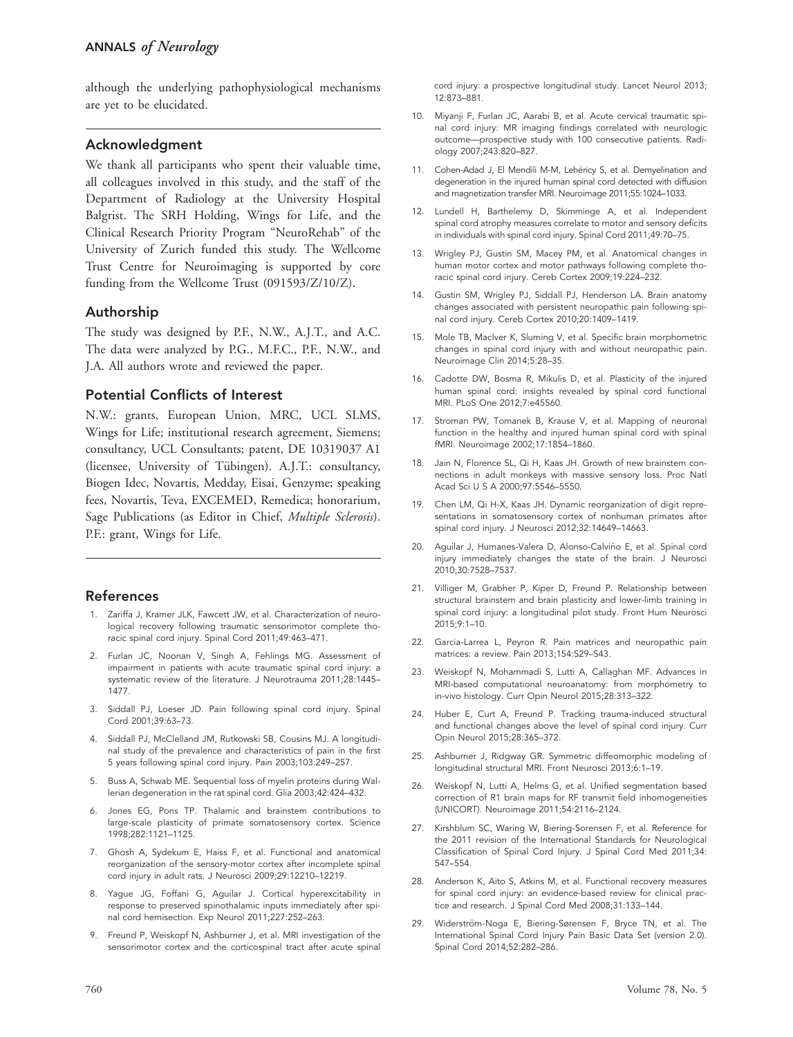although the underlying pathophysiological mechanisms are yet to be elucidated.

# Acknowledgment

We thank all participants who spent their valuable time, all colleagues involved in this study, and the staff of the Department of Radiology at the University Hospital Balgrist. The SRH Holding, Wings for Life, and the Clinical Research Priority Program "NeuroRehab" of the University of Zurich funded this study. The Wellcome Trust Centre for Neuroimaging is supported by core funding from the Wellcome Trust (091593/Z/10/Z).

# Authorship

The study was designed by P.F., N.W., A.J.T., and A.C. The data were analyzed by P.G., M.F.C., P.F., N.W., and J.A. All authors wrote and reviewed the paper.

# Potential Conflicts of Interest

N.W.: grants, European Union, MRC, UCL SLMS, Wings for Life; institutional research agreement, Siemens; consultancy, UCL Consultants; patent, DE 10319037 A1 (licensee, University of Tübingen). A.J.T.: consultancy, Biogen Idec, Novartis, Medday, Eisai, Genzyme; speaking fees, Novartis, Teva, EXCEMED, Remedica; honorarium, Sage Publications (as Editor in Chief, Multiple Sclerosis). P.F.: grant, Wings for Life.

# References

- 1. Zariffa J, Kramer JLK, Fawcett JW, et al. Characterization of neurological recovery following traumatic sensorimotor complete thoracic spinal cord injury. Spinal Cord 2011;49:463–471.
- 2. Furlan JC, Noonan V, Singh A, Fehlings MG. Assessment of impairment in patients with acute traumatic spinal cord injury: a systematic review of the literature. J Neurotrauma 2011;28:1445– 1477.
- 3. Siddall PJ, Loeser JD. Pain following spinal cord injury. Spinal Cord 2001;39:63–73.
- 4. Siddall PJ, McClelland JM, Rutkowski SB, Cousins MJ. A longitudinal study of the prevalence and characteristics of pain in the first 5 years following spinal cord injury. Pain 2003;103:249–257.
- 5. Buss A, Schwab ME. Sequential loss of myelin proteins during Wallerian degeneration in the rat spinal cord. Glia 2003;42:424–432.
- 6. Jones EG, Pons TP. Thalamic and brainstem contributions to large-scale plasticity of primate somatosensory cortex. Science 1998;282:1121–1125.
- 7. Ghosh A, Sydekum E, Haiss F, et al. Functional and anatomical reorganization of the sensory-motor cortex after incomplete spinal cord injury in adult rats. J Neurosci 2009;29:12210–12219.
- 8. Yague JG, Foffani G, Aguilar J. Cortical hyperexcitability in response to preserved spinothalamic inputs immediately after spinal cord hemisection. Exp Neurol 2011;227:252–263.
- 9. Freund P, Weiskopf N, Ashburner J, et al. MRI investigation of the sensorimotor cortex and the corticospinal tract after acute spinal

cord injury: a prospective longitudinal study. Lancet Neurol 2013; 12:873–881.

- 10. Miyanji F, Furlan JC, Aarabi B, et al. Acute cervical traumatic spinal cord injury: MR imaging findings correlated with neurologic outcome—prospective study with 100 consecutive patients. Radiology 2007;243:820–827.
- 11. Cohen-Adad J, El Mendili M-M, Lehéricy S, et al. Demyelination and degeneration in the injured human spinal cord detected with diffusion and magnetization transfer MRI. Neuroimage 2011;55:1024–1033.
- 12. Lundell H, Barthelemy D, Skimminge A, et al. Independent spinal cord atrophy measures correlate to motor and sensory deficits in individuals with spinal cord injury. Spinal Cord 2011;49:70–75.
- 13. Wrigley PJ, Gustin SM, Macey PM, et al. Anatomical changes in human motor cortex and motor pathways following complete thoracic spinal cord injury. Cereb Cortex 2009;19:224–232.
- 14. Gustin SM, Wrigley PJ, Siddall PJ, Henderson LA. Brain anatomy changes associated with persistent neuropathic pain following spinal cord injury. Cereb Cortex 2010;20:1409–1419.
- 15. Mole TB, MacIver K, Sluming V, et al. Specific brain morphometric changes in spinal cord injury with and without neuropathic pain. Neuroimage Clin 2014;5:28–35.
- 16. Cadotte DW, Bosma R, Mikulis D, et al. Plasticity of the injured human spinal cord: insights revealed by spinal cord functional MRI. PLoS One 2012;7:e45560.
- 17. Stroman PW, Tomanek B, Krause V, et al. Mapping of neuronal function in the healthy and injured human spinal cord with spinal fMRI. Neuroimage 2002;17:1854–1860.
- 18. Jain N, Florence SL, Qi H, Kaas JH. Growth of new brainstem connections in adult monkeys with massive sensory loss. Proc Natl Acad Sci U S A 2000;97:5546–5550.
- 19. Chen LM, Qi H-X, Kaas JH. Dynamic reorganization of digit representations in somatosensory cortex of nonhuman primates after spinal cord injury. J Neurosci 2012;32:14649–14663.
- 20. Aguilar J, Humanes-Valera D, Alonso-Calviño E, et al. Spinal cord injury immediately changes the state of the brain. J Neurosci 2010;30:7528–7537.
- 21. Villiger M, Grabher P, Kiper D, Freund P. Relationship between structural brainstem and brain plasticity and lower-limb training in spinal cord injury: a longitudinal pilot study. Front Hum Neurosci 2015;9:1–10.
- 22. Garcia-Larrea L, Peyron R. Pain matrices and neuropathic pain matrices: a review. Pain 2013;154:S29–S43.
- 23. Weiskopf N, Mohammadi S, Lutti A, Callaghan MF. Advances in MRI-based computational neuroanatomy: from morphometry to in-vivo histology. Curr Opin Neurol 2015;28:313–322.
- 24. Huber E, Curt A, Freund P. Tracking trauma-induced structural and functional changes above the level of spinal cord injury. Curr Opin Neurol 2015;28:365–372.
- 25. Ashburner J, Ridgway GR. Symmetric diffeomorphic modeling of longitudinal structural MRI. Front Neurosci 2013;6:1–19.
- 26. Weiskopf N, Lutti A, Helms G, et al. Unified segmentation based correction of R1 brain maps for RF transmit field inhomogeneities (UNICORT). Neuroimage 2011;54:2116–2124.
- 27. Kirshblum SC, Waring W, Biering-Sorensen F, et al. Reference for the 2011 revision of the International Standards for Neurological Classification of Spinal Cord Injury. J Spinal Cord Med 2011;34: 547–554.
- 28. Anderson K, Aito S, Atkins M, et al. Functional recovery measures for spinal cord injury: an evidence-based review for clinical practice and research. J Spinal Cord Med 2008;31:133–144.
- 29. Widerström-Noga E, Biering-Sørensen F, Bryce TN, et al. The International Spinal Cord Injury Pain Basic Data Set (version 2.0). Spinal Cord 2014;52:282–286.